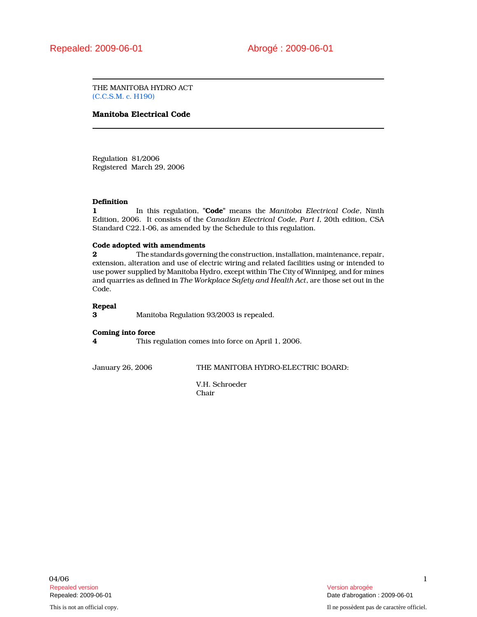THE MANITOBA HYDRO ACT (C.C.S.M. c. H190)

# Manitoba Electrical Code

Regulation 81/2006 Registered March 29, 2006

# **Definition**

1 In this regulation, "Code" means the Manitoba Electrical Code, Ninth Edition, 2006. It consists of the Canadian Electrical Code, Part I, 20th edition, CSA Standard C22.1-06, as amended by the Schedule to this regulation.

## Code adopted with amendments

2 The standards governing the construction, installation, maintenance, repair, extension, alteration and use of electric wiring and related facilities using or intended to use power supplied by Manitoba Hydro, except within The City of Winnipeg, and for mines and quarries as defined in The Workplace Safety and Health Act, are those set out in the Code.

## Repeal

3 Manitoba Regulation 93/2003 is repealed.

# Coming into force

4 This regulation comes into force on April 1, 2006.

January 26, 2006 THE MANITOBA HYDRO-ELECTRIC BOARD:

V.H. Schroeder Chair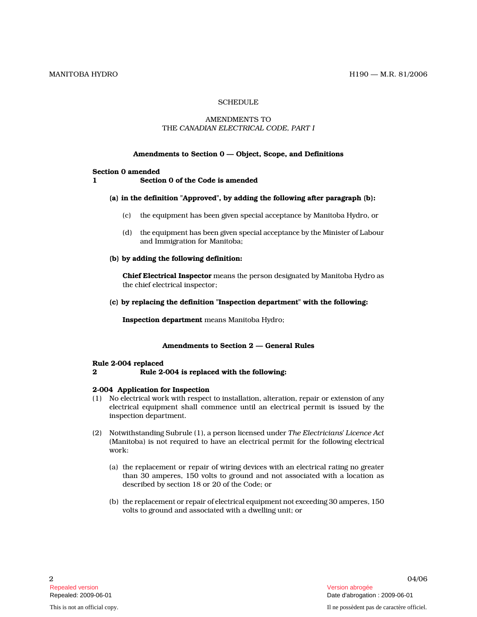# **SCHEDULE**

# AMENDMENTS TO THE CANADIAN ELECTRICAL CODE, PART I

## Amendments to Section 0 — Object, Scope, and Definitions

#### Section 0 amended

1 Section 0 of the Code is amended

# (a) in the definition "Approved", by adding the following after paragraph (b):

- (c) the equipment has been given special acceptance by Manitoba Hydro, or
- (d) the equipment has been given special acceptance by the Minister of Labour and Immigration for Manitoba;

## (b) by adding the following definition:

Chief Electrical Inspector means the person designated by Manitoba Hydro as the chief electrical inspector;

(c) by replacing the definition "Inspection department" with the following:

Inspection department means Manitoba Hydro;

# Amendments to Section 2 — General Rules

#### Rule 2-004 replaced

2 Rule 2-004 is replaced with the following:

# 2-004 Application for Inspection

- (1) No electrical work with respect to installation, alteration, repair or extension of any electrical equipment shall commence until an electrical permit is issued by the inspection department.
- (2) Notwithstanding Subrule (1), a person licensed under The Electricians' Licence Act (Manitoba) is not required to have an electrical permit for the following electrical work:
	- (a) the replacement or repair of wiring devices with an electrical rating no greater than 30 amperes, 150 volts to ground and not associated with a location as described by section 18 or 20 of the Code; or
	- (b) the replacement or repair of electrical equipment not exceeding 30 amperes, 150 volts to ground and associated with a dwelling unit; or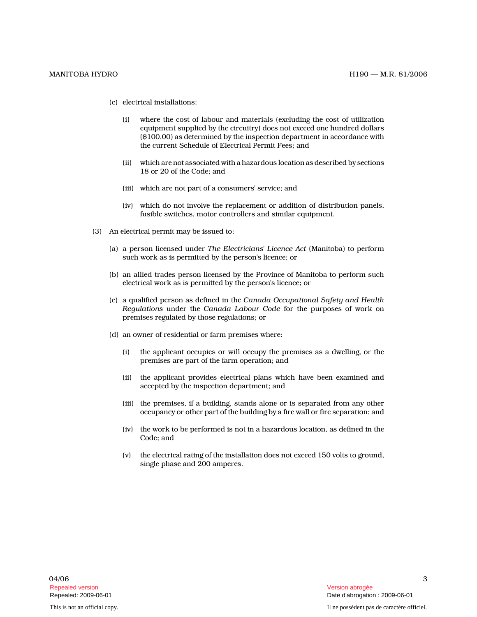- (c) electrical installations:
	- (i) where the cost of labour and materials (excluding the cost of utilization equipment supplied by the circuitry) does not exceed one hundred dollars (\$100.00) as determined by the inspection department in accordance with the current Schedule of Electrical Permit Fees; and
	- (ii) which are not associated with a hazardous location as described by sections 18 or 20 of the Code; and
	- (iii) which are not part of a consumers' service; an d
	- (iv) which do not involve the replacement or addition of distribution panels, fusible switches, motor controllers and similar equipment.
- (3) An electrical permit may be issued to:
	- (a) a person licensed under The Electricians' Licence Act (Manitoba) to perform such work as is permitted by the person's licence; or
	- (b) an allied trades person licensed by the Province of Manitoba to perform such electrical work as is permitted by the person's licence; or
	- (c) a qualified person as defined in the Canada Occupational Safety and Health Regulations under the Canada Labour Code for the purposes of work on premises regulated by those regulations; or
	- (d) an owner of residential or farm premises where:
		- (i) the applicant occupies or will occupy the premises as a dwelling, or the premises are part of the farm operation; and
		- (ii) the applicant provides electrical plans which have been examined and accepted by the inspection department; and
		- (iii) the premises, if a building, stands alone or is separated from any other occupancy or other part of the building by a fire wall or fire separation; and
		- (iv) the work to be performed is not in a hazardous location, as defined in the Code; and
		- (v) the electrical rating of the installation does not exceed 150 volts to ground, single phase and 200 amperes.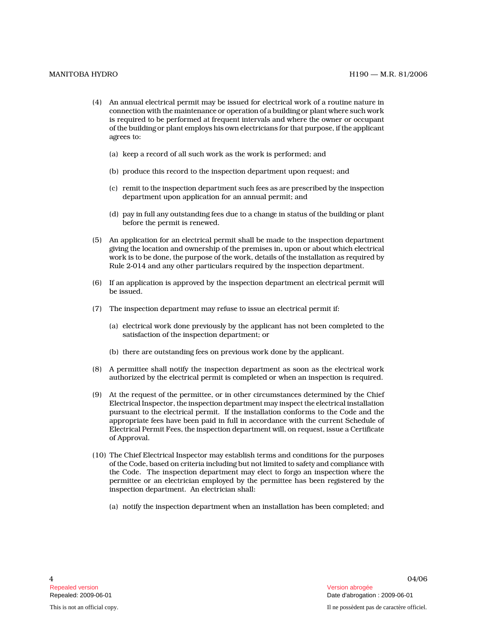- (4) An annual electrical permit may be issued for electrical work of a routine nature in connection with the maintenance or operation of a building or plant where such work is required to be performed at frequent intervals and where the owner or occupant of the building or plant employs his own electricians for that purpose, if the applicant agrees to:
	- (a) keep a record of all such work as the work is performed; and
	- (b) produce this record to the inspection department upon request; and
	- (c) remit to the inspection department such fees as are prescribed by the inspection department upon application for an annual permit; and
	- (d) pay in full any outstanding fees due to a change in status of the building or plant before the permit is renewed.
- (5) An application for an electrical permit shall be made to the inspection department giving the location and ownership of the premises in, upon or about which electrical work is to be done, the purpose of the work, details of the installation as required by Rule 2-014 and any other particulars required by the inspection department.
- (6) If an application is approved by the inspection department an electrical permit will be issued.
- (7) The inspection department may refuse to issue an electrical permit if:
	- (a) electrical work done previously by the applicant has not been completed to the satisfaction of the inspection department; or
	- (b) there are outstanding fees on previous work done by the applicant.
- (8) A permittee shall notify the inspection department as soon as the electrical work authorized by the electrical permit is completed or when an inspection is required.
- (9) At the request of the permittee, or in other circumstances determined by the Chief Electrical Inspector, the inspection department may inspect the electrical installation pursuant to the electrical permit. If the installation conforms to the Code and the appropriate fees have been paid in full in accordance with the current Schedule of Electrical Permit Fees, the inspection department will, on request, issue a Certificate of Approval.
- (10) The Chief Electrical Inspector may establish terms and conditions for the purposes of the Code, based on criteria including but not limited to safety and compliance with the Code. The inspection department may elect to forgo an inspection where the permittee or an electrician employed by the permittee has been registered by the inspection department. An electrician shall:
	- (a) notify the inspection department when an installation has been completed; and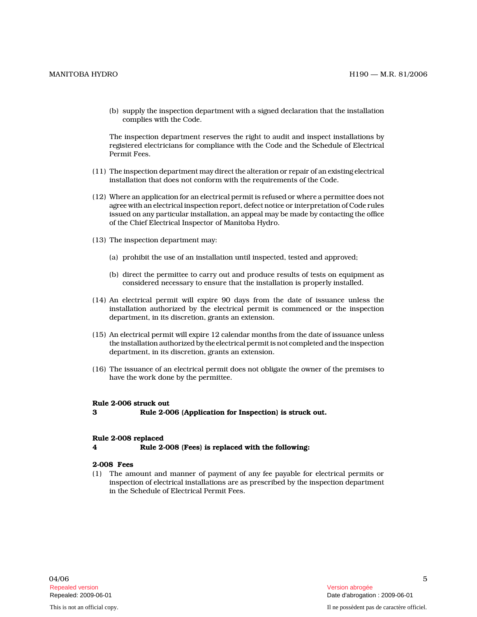(b) supply the inspection department with a signed declaration that the installation complies with the Code.

The inspection department reserves the right to audit and inspect installations by registered electricians for compliance with the Code and the Schedule of Electrical Permit Fees.

- (11) The inspection department may direct the alteration or repair of an existing electrical installation that does not conform with the requirements of the Code.
- (12) Where an application for an electrical permit is refused or where a permittee does not agree with an electrical inspection report, defect notice or interpretation of Code rules issued on any particular installation, an appeal may be made by contacting the office of the Chief Electrical Inspector of Manitoba Hydro .
- (13) The inspection department may:
	- (a) prohibit the use of an installation until inspected, tested and approved;
	- (b) direct the permittee to carry out and produce results of tests on equipment as considered necessary to ensure that the installation is properly installed.
- (14) An electrical permit will expire 90 days from the date of issuance unless the installation authorized by the electrical permit is commenced or the inspection department, in its discretion, grants an extension.
- (15) An electrical permit will expire 12 calendar months from the date of issuance unless the installation authorized by the electrical permit is not completed and the inspection department, in its discretion, grants an extension.
- (16) The issuance of an electrical permit does not obligate the owner of the premises to have the work done by the permittee.

# Rule 2-006 struck out

3 Rule 2-006 (Application for Inspection) is struck out.

#### Rule 2-008 replaced

4 Rule 2-008 (Fees) is replaced with the following:

## 2-008 Fees

(1) The amount and manner of payment of any fee payable for electrical permits or inspection of electrical installations are as prescribed by the inspection department in the Schedule of Electrical Permit Fees.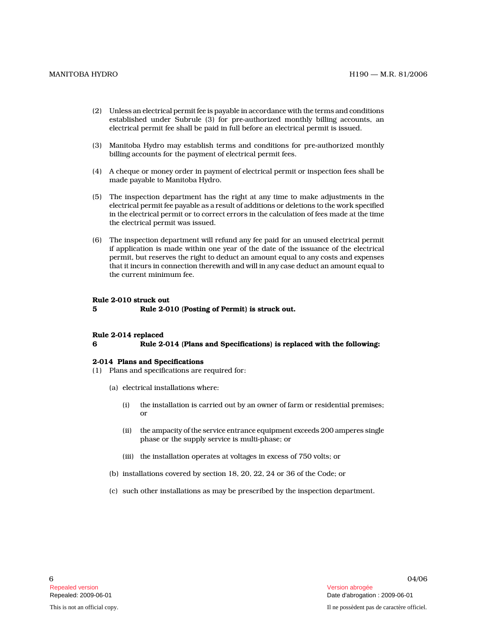- (2) Unless an electrical permit fee is payable in accordance with the terms and conditions established under Subrule (3) for pre-authorized monthly billing accounts, an electrical permit fee shall be paid in full before an electrical permit is issued.
- (3) Manitoba Hydro may establish terms and conditions for pre-authorized monthly billing accounts for the payment of electrical permit fees.
- (4) A cheque or money order in payment of electrical permit or inspection fees shall be made payable to Manitoba Hydro.
- (5) The inspection department has the right at any time to make adjustments in the electrical permit fee payable as a result of additions or deletions to the work specified in the electrical permit or to correct errors in the calculation of fees made at the time the electrical permit was issued.
- (6) The inspection department will refund any fee paid for an unused electrical permit if application is made within one year of the date of the issuance of the electrical permit, but reserves the right to deduct an amount equal to any costs and expenses that it incurs in connection therewith and will in any case deduct an amount equal to the current minimum fee.

#### Rule 2-010 struck out

5 Rule 2-010 (Posting of Permit) is struck out.

#### Rule 2-014 replaced

6 Rule 2-014 (Plans and Specifications) is replaced with the following:

#### 2-014 Plans and Specifications

- (1) Plans and specifications are required for:
	- (a) electrical installations where:
		- (i) the installation is carried out by an owner of farm or residential premises; or
		- (ii) the ampacity of the service entrance equipment exceeds 200 amperes single phase or the supply service is multi-phase; or
		- (iii) the installation operates at voltages in excess of 750 volts; or
	- (b) installations covered by section 18, 20, 22, 24 or 36 of the Code; or
	- (c) such other installations as may be prescribed by the inspection department.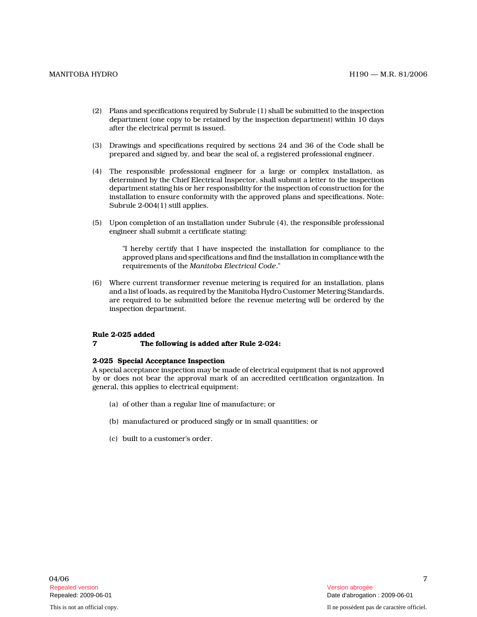- (2) Plans and specifications required by Subrule (1) shall be submitted to the inspection department (one copy to be retained by the inspection department) within 10 days after the electrical permit is issued.
- (3) Drawings and specifications required by sections 24 and 36 of the Code shall be prepared and signed by, and bear the seal of, a registered professional engineer.
- (4) The responsible professional engineer for a large or complex installation, as determined by the Chief Electrical Inspector, shall submit a letter to the inspection department stating his or her responsibility for the inspection of construction for the installation to ensure conformity with the approved plans and specifications. Note: Subrule 2-004(1) still applies.
- (5) Upon completion of an installation under Subrule (4), the responsible professional engineer shall submit a certificate stating:

"I hereby certify that I have inspected the installation for compliance to the approved plans and specifications and find the installation in compliance with the requirements of the Manitoba Electrical Code."

(6) Where current transformer revenue metering is required for an installation, plans and a list of loads, as required by the Manitoba Hydro Customer Metering Standards, are required to be submitted before the revenue metering will be ordered by the inspection department.

# Rule 2-025 added

7 The following is added after Rule 2-024:

## 2-025 Special Acceptance Inspection

A special acceptance inspection may be made of electrical equipment that is not approved by or does not bear the approval mark of an accredited certification organization. In general, this applies to electrical equipment:

- (a) of other than a regular line of manufacture; or
- (b) manufactured or produced singly or in small quantities; or
- (c) built to a customer's order.

7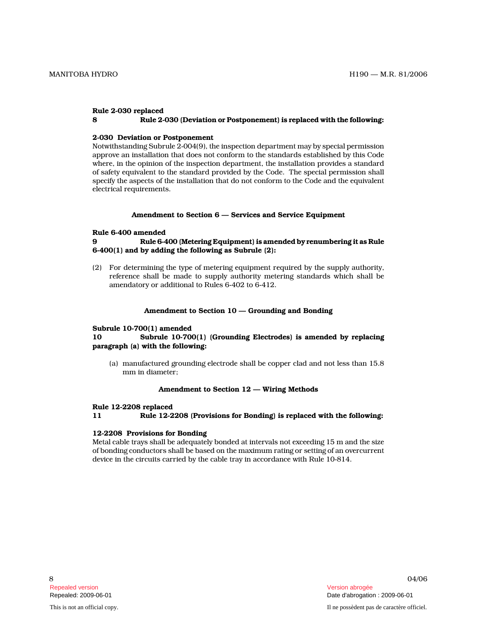# Rule 2-030 replaced

# 8 Rule 2-030 (Deviation or Postponement) is replaced with the following:

## 2-030 Deviation or Postponement

Notwithstanding Subrule 2-004(9), the inspection department may by special permission approve an installation that does not conform to the standards established by this Code where, in the opinion of the inspection department, the installation provides a standard of safety equivalent to the standard provided by the Code. The special permission shall specify the aspects of the installation that do not conform to the Code and the equivalent electrical requirements.

## Amendment to Section 6 — Services and Service Equipment

## Rule 6-400 amended

# 9 Rule 6-400 (Metering Equipment) is amended by renumbering it as Rule 6-400(1) and by adding the following as Subrule (2) :

(2) For determining the type of metering equipment required by the supply authority, reference shall be made to supply authority metering standards which shall be amendatory or additional to Rules 6-402 to 6-412.

## Amendment to Section 10 — Grounding and Bonding

#### Subrule 10-700(1) amended

# 10 Subrule 10-700(1) (Grounding Electrodes) is amended by replacing paragraph (a) with the following:

(a) manufactured grounding electrode shall be copper clad and not less than 15.8 mm in diameter;

#### Amendment to Section 12 — Wiring Methods

#### Rule 12-2208 replaced

11 Rule 12-2208 (Provisions for Bonding) is replaced with the following:

# 12-2208 Provisions for Bonding

Metal cable trays shall be adequately bonded at intervals not exceeding 15 m and the size of bonding conductors shall be based on the maximum rating or setting of an overcurrent device in the circuits carried by the cable tray in accordance with Rule 10-814.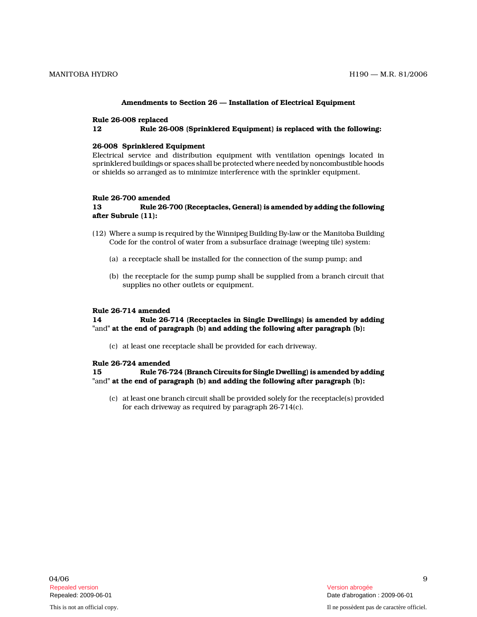### Amendments to Section 26 — Installation of Electrical Equipment

## Rule 26-008 replaced

12 Rule 26-008 (Sprinklered Equipment) is replaced with the following:

### 26-008 Sprinklered Equipment

Electrical service and distribution equipment with ventilation openings located in sprinklered buildings or spaces shall be protected where needed by noncombustible hoods or shields so arranged as to minimize interference with the sprinkler equipment.

# Rule 26-700 amended

## 13 Rule 26-700 (Receptacles, General) is amended by adding the following after Subrule (11):

- (12) Where a sump is required by the Winnipeg Building By-law or the Manitoba Building Code for the control of water from a subsurface drainage (weeping tile) system:
	- (a) a receptacle shall be installed for the connection of the sump pump; and
	- (b) the receptacle for the sump pump shall be supplied from a branch circuit that supplies no other outlets or equipment.

## Rule 26-714 amended

14 Rule 26-714 (Receptacles in Single Dwellings) is amended by adding "and" at the end of paragraph (b) and adding the following after paragraph (b):

(c) at least one receptacle shall be provided for each driveway.

### Rule 26-724 amended

15 Rule 76-724 (Branch Circuits for Single Dwelling) is amended by adding "and" at the end of paragraph (b) and adding the following after paragraph (b):

(c) at least one branch circuit shall be provided solely for the receptacle(s) provided for each driveway as required by paragraph 26-714(c).

9